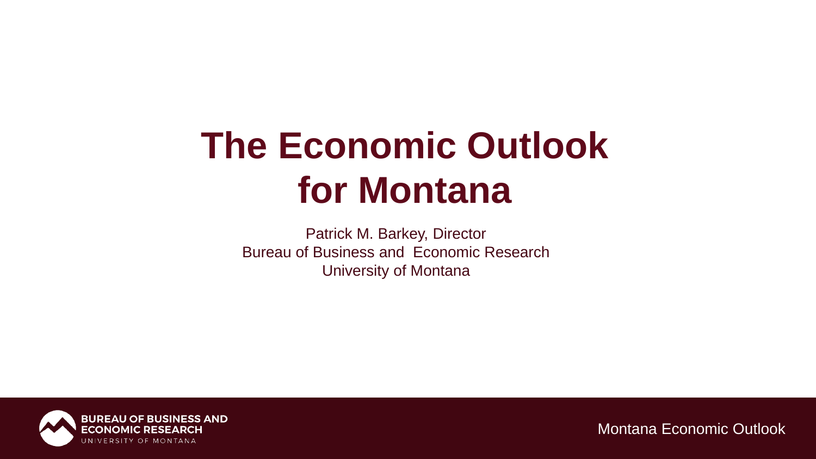# **The Economic Outlook for Montana**

Patrick M. Barkey, Director Bureau of Business and Economic Research University of Montana

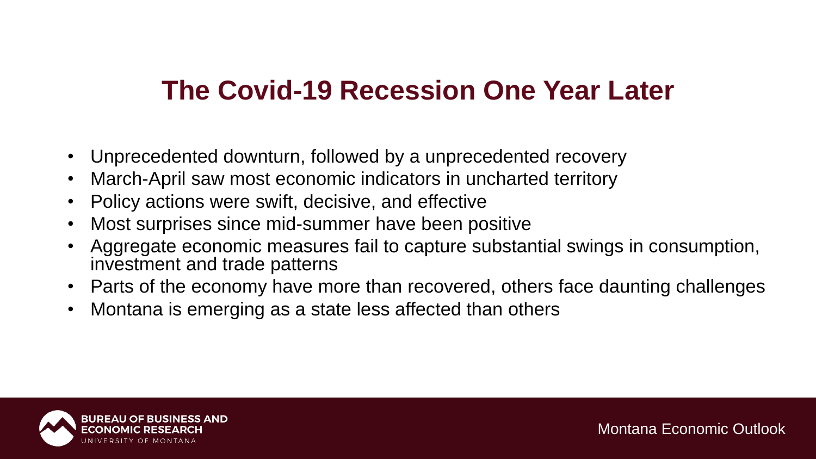### **The Covid-19 Recession One Year Later**

- Unprecedented downturn, followed by a unprecedented recovery
- March-April saw most economic indicators in uncharted territory
- Policy actions were swift, decisive, and effective
- Most surprises since mid-summer have been positive
- Aggregate economic measures fail to capture substantial swings in consumption, investment and trade patterns
- Parts of the economy have more than recovered, others face daunting challenges
- Montana is emerging as a state less affected than others

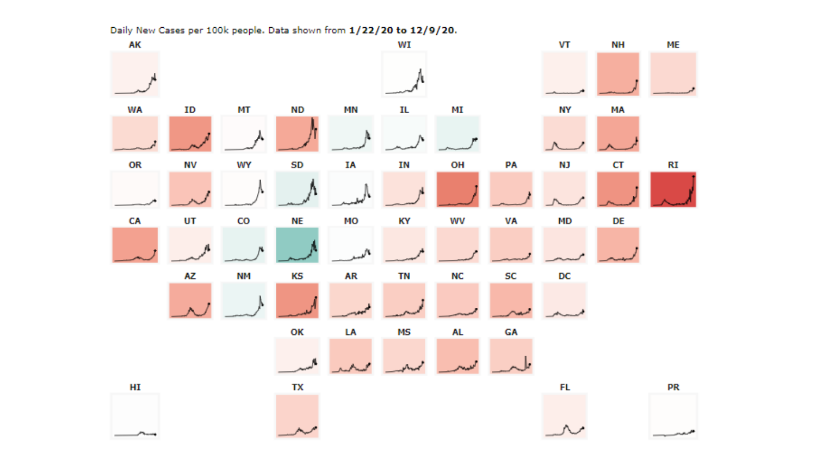

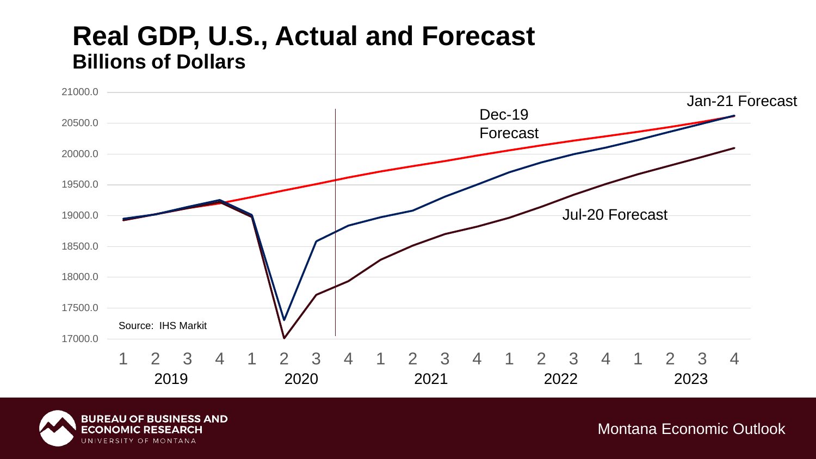### **Real GDP, U.S., Actual and Forecast Billions of Dollars**



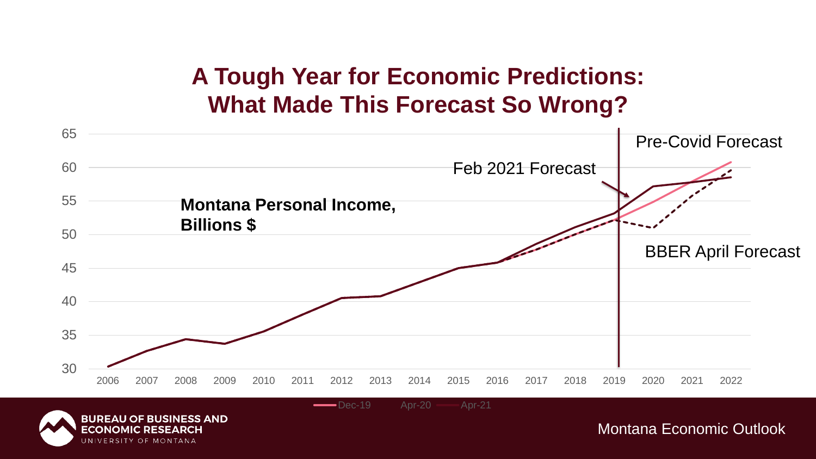### **A Tough Year for Economic Predictions: What Made This Forecast So Wrong?**



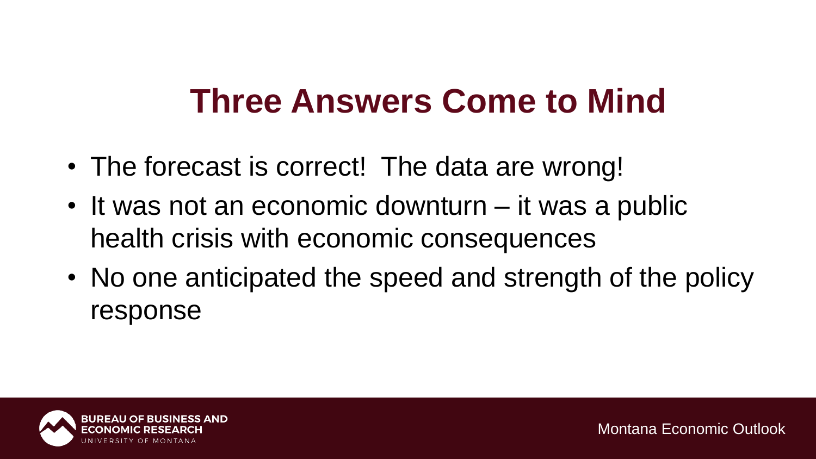## **Three Answers Come to Mind**

- The forecast is correct! The data are wrong!
- It was not an economic downturn it was a public health crisis with economic consequences
- No one anticipated the speed and strength of the policy response

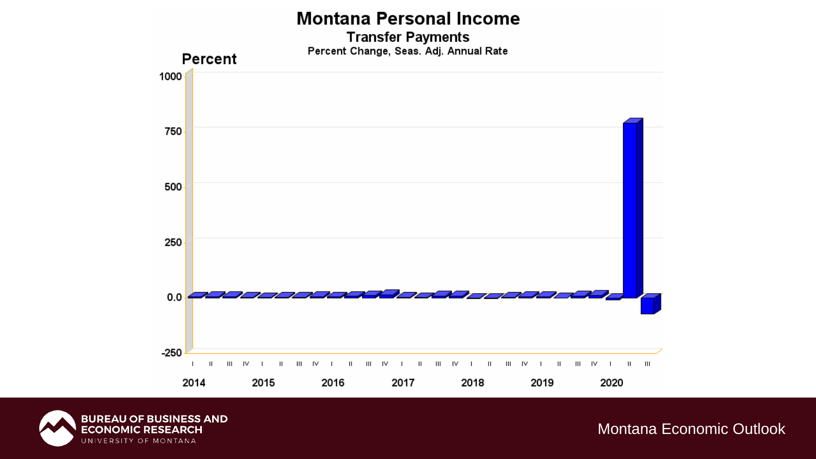#### **Montana Personal Income**

**Transfer Payments** Percent Change, Seas. Adj. Annual Rate



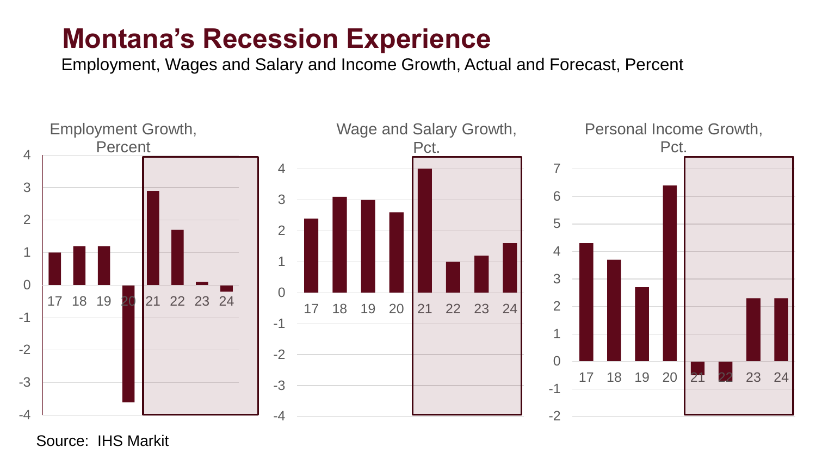### **Montana's Recession Experience**

Employment, Wages and Salary and Income Growth, Actual and Forecast, Percent



Source: IHS Markit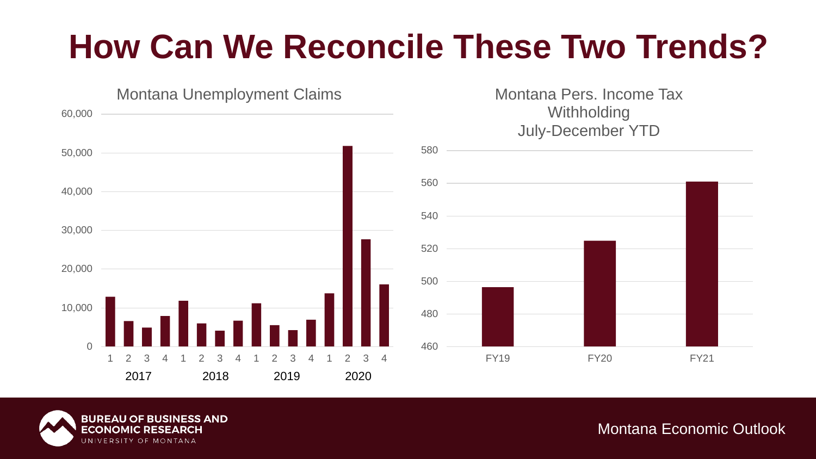# **How Can We Reconcile These Two Trends?**



Montana Pers. Income Tax **Withholding** July-December YTD



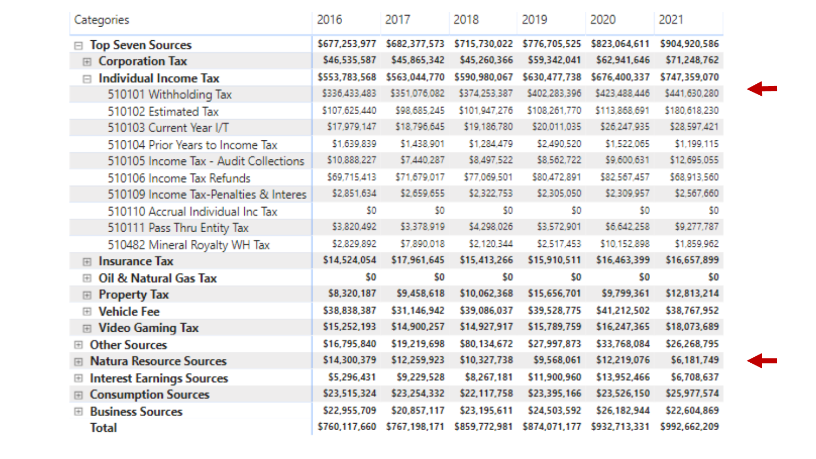| Categories                                                                                                                                                                                                                                                   | 2016          | 2017          | 2018          | 2019          | 2020          | 2021          |
|--------------------------------------------------------------------------------------------------------------------------------------------------------------------------------------------------------------------------------------------------------------|---------------|---------------|---------------|---------------|---------------|---------------|
| <b>Top Seven Sources</b>                                                                                                                                                                                                                                     | \$677,253,977 | \$682,377,573 | \$715,730,022 | \$776,705,525 | \$823,064,611 | \$904,920,586 |
| <b>Corporation Tax</b><br>囲                                                                                                                                                                                                                                  | \$46,535,587  | \$45,865,342  | \$45,260,366  | \$59,342,041  | \$62,941,646  | \$71,248,762  |
| <b>Individual Income Tax</b><br>$\Box$                                                                                                                                                                                                                       | \$553,783,568 | \$563,044,770 | \$590,980,067 | \$630,477,738 | \$676,400,337 | \$747,359,070 |
| 510101 Withholding Tax                                                                                                                                                                                                                                       | \$336,433,483 | \$351,076,082 | \$374,253,387 | \$402,283,396 | \$423,488,446 | \$441,630,280 |
| 510102 Estimated Tax                                                                                                                                                                                                                                         | \$107,625,440 | \$98,685,245  | \$101,947,276 | \$108,261,770 | \$113,868,691 | \$180,618,230 |
| 510103 Current Year I/T                                                                                                                                                                                                                                      | \$17,979,147  | \$18,796,645  | \$19,186,780  | \$20,011,035  | \$26,247,935  | \$28,597,421  |
| 510104 Prior Years to Income Tax                                                                                                                                                                                                                             | \$1,639,839   | \$1,438,901   | \$1,284,479   | \$2,490,520   | \$1,522,065   | \$1,199,115   |
| 510105 Income Tax - Audit Collections                                                                                                                                                                                                                        | \$10,888,227  | \$7,440,287   | \$8,497,522   | \$8,562,722   | \$9,600,631   | \$12,695,055  |
| 510106 Income Tax Refunds                                                                                                                                                                                                                                    | \$69,715,413  | \$71,679,017  | \$77,069,501  | \$80,472,891  | \$82,567,457  | \$68,913,560  |
| 510109 Income Tax-Penalties & Interes                                                                                                                                                                                                                        | \$2,851,634   | \$2,659,655   | \$2,322,753   | \$2,305,050   | \$2,309,957   | \$2,567,660   |
| 510110 Accrual Individual Inc Tax                                                                                                                                                                                                                            | \$0           | 50            | \$0           | \$0.          | \$0           | \$0           |
| 510111 Pass Thru Entity Tax                                                                                                                                                                                                                                  | \$3,820,492   | \$3,378,919   | \$4,298,026   | \$3,572,901   | \$6,642,258   | \$9,277,787   |
| 510482 Mineral Royalty WH Tax                                                                                                                                                                                                                                | \$2,829,892   | \$7,890,018   | \$2,120,344   | \$2,517,453   | \$10,152,898  | \$1,859,962   |
| <b>Insurance Tax</b><br>圓                                                                                                                                                                                                                                    | \$14,524,054  | \$17,961,645  | \$15,413,266  | \$15,910,511  | \$16,463,399  | \$16,657,899  |
| Oil & Natural Gas Tax<br>$\boxed{+}$                                                                                                                                                                                                                         | \$0           | \$0           | \$0           | \$0           | \$0           | \$0           |
| <b>Property Tax</b><br>囲                                                                                                                                                                                                                                     | \$8,320,187   | \$9,458,618   | \$10,062,368  | \$15,656,701  | \$9,799,361   | \$12,813,214  |
| <b>Vehicle Fee</b><br>圓                                                                                                                                                                                                                                      | \$38,838,387  | \$31,146,942  | \$39,086,037  | \$39,528,775  | \$41,212,502  | \$38,767,952  |
| <b>Video Gaming Tax</b><br>国                                                                                                                                                                                                                                 | \$15,252,193  | \$14,900,257  | \$14,927,917  | \$15,789,759  | \$16,247,365  | \$18,073,689  |
| <b>Other Sources</b><br>$[+] % \begin{center} % \includegraphics[width=\textwidth]{images/TransY.pdf} \end{center} % \vspace*{-1em} \caption{The image shows the image shows a single number of 3D. The left side is the number of 3D.} \label{fig:class} %$ | \$16,795,840  | \$19,219,698  | \$80,134,672  | \$27,997,873  | \$33,768,084  | \$26,268,795  |
| <b>Natura Resource Sources</b><br>田                                                                                                                                                                                                                          | \$14,300,379  | \$12,259,923  | \$10,327,738  | \$9,568,061   | \$12,219,076  | \$6,181,749   |
| <b>Interest Earnings Sources</b><br>$\begin{array}{c} \hline \end{array}$                                                                                                                                                                                    | \$5,296,431   | \$9,229,528   | \$8,267,181   | \$11,900,960  | \$13,952,466  | \$6,708,637   |
| <b>Consumption Sources</b><br>圖                                                                                                                                                                                                                              | \$23,515,324  | \$23,254,332  | \$22,117,758  | \$23,395,166  | \$23,526,150  | \$25,977,574  |
| <b>Business Sources</b><br>$\mathbb{H}$                                                                                                                                                                                                                      | \$22,955,709  | \$20,857,117  | \$23,195,611  | \$24,503,592  | \$26,182,944  | \$22,604,869  |
| <b>Total</b>                                                                                                                                                                                                                                                 | \$760,117,660 | \$767,198,171 | \$859,772,981 | \$874,071,177 | \$932,713,331 | \$992,662,209 |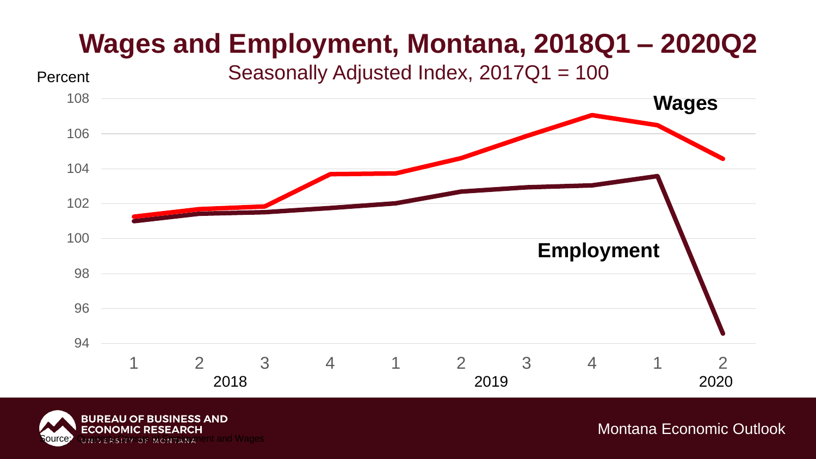## **Wages and Employment, Montana, 2018Q1 – 2020Q2**



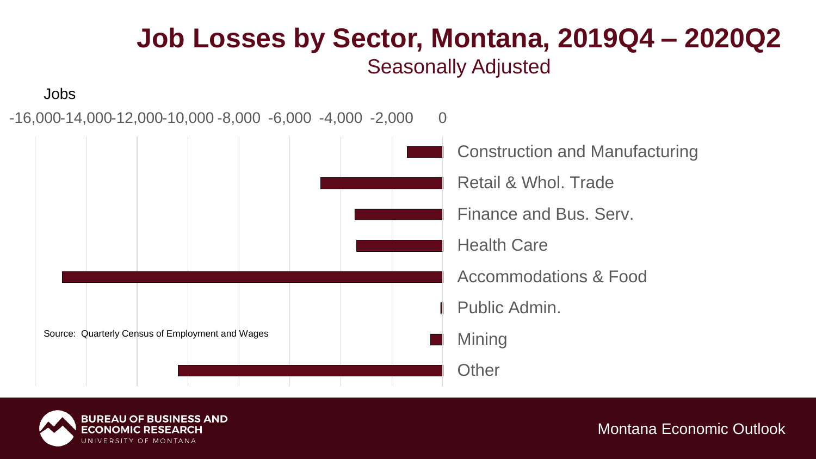### **Job Losses by Sector, Montana, 2019Q4 – 2020Q2** Seasonally Adjusted

Jobs

 $-16,000-14,000-12,000-10,000-8,000-6,000-4,000-2,000$  0



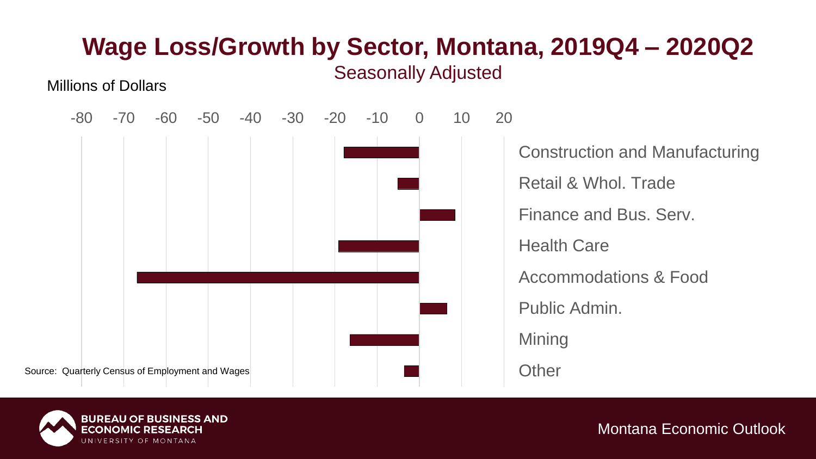

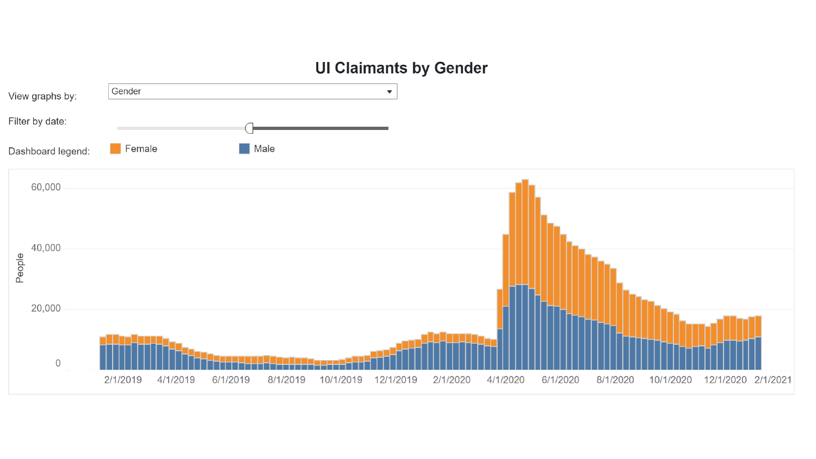#### **UI Claimants by Gender**

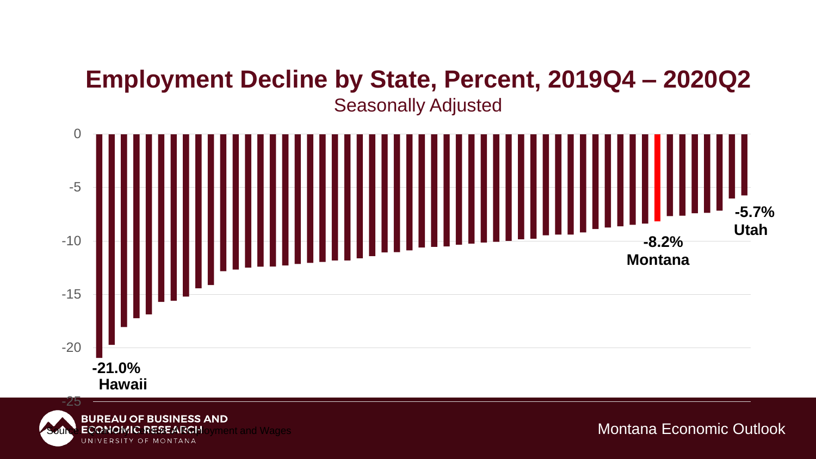### **Employment Decline by State, Percent, 2019Q4 – 2020Q2**



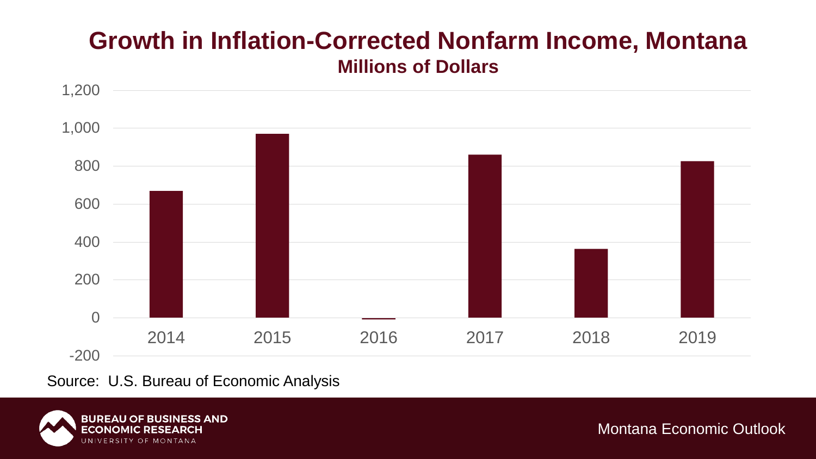### **Growth in Inflation-Corrected Nonfarm Income, Montana Millions of Dollars**



Source: U.S. Bureau of Economic Analysis

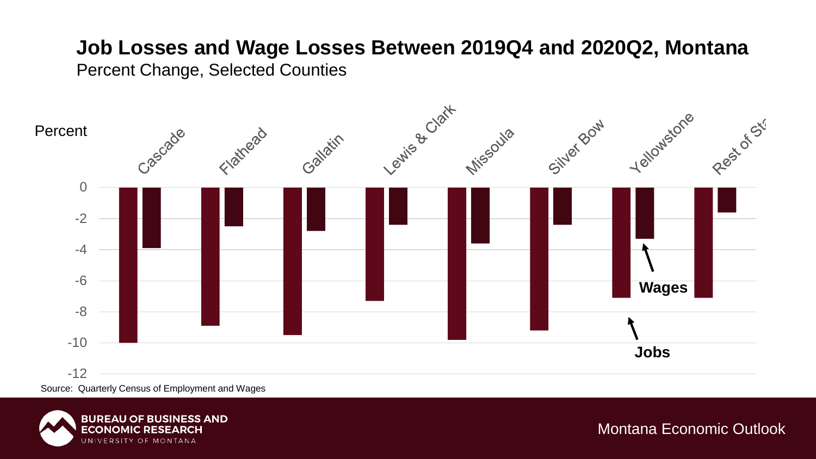#### **Job Losses and Wage Losses Between 2019Q4 and 2020Q2, Montana**

Percent Change, Selected Counties



Source: Quarterly Census of Employment and Wages

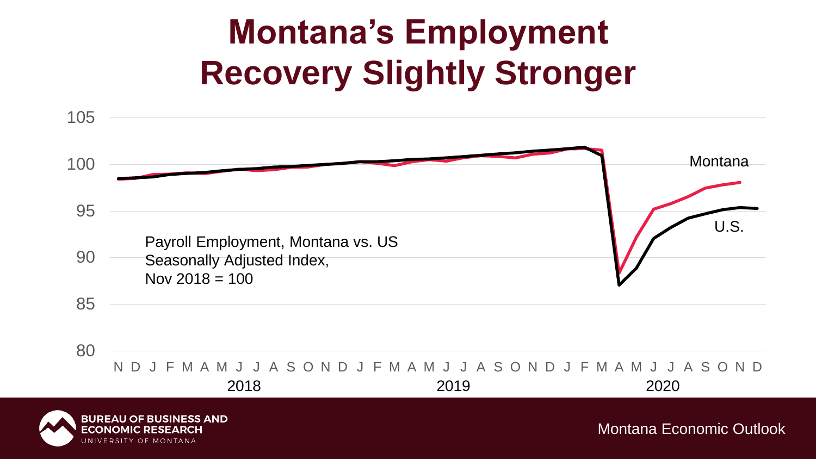# **Montana's Employment Recovery Slightly Stronger**

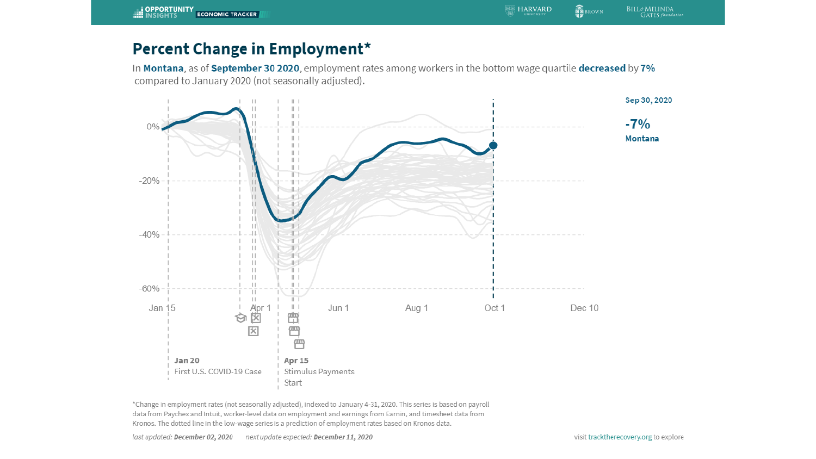In Montana, as of September 30 2020, employment rates among workers in the bottom wage quartile decreased by 7% compared to January 2020 (not seasonally adjusted).



\*Change in employment rates (not seasonally adjusted), indexed to January 4-31, 2020. This series is based on payroll data from Paychex and Intuit, worker-level data on employment and earnings from Earnin, and timesheet data from Kronos. The dotted line in the low-wage series is a prediction of employment rates based on Kronos data.

**SE BROWN** 

**BILL&MELINDA**<br>GATES *foundation*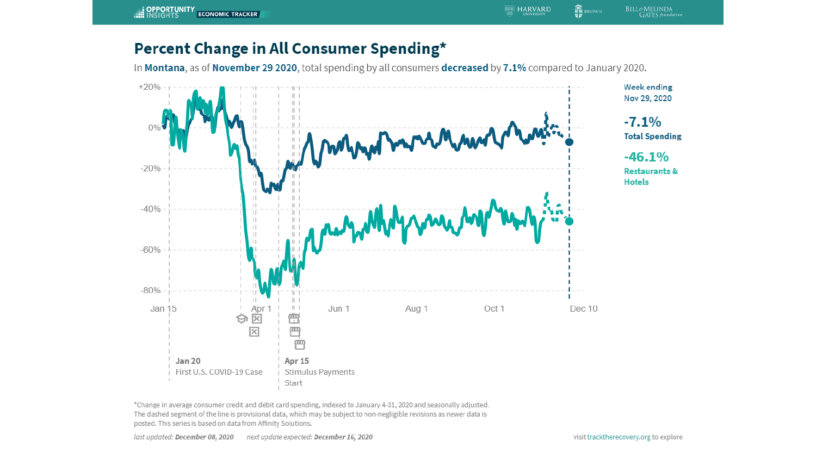In Montana, as of November 29 2020, total spending by all consumers decreased by 7.1% compared to January 2020.



\*Change in average consumer credit and debit card spending, indexed to January 4-31, 2020 and seasonally adjusted. The dashed segment of the line is provisional data, which may be subject to non-negligible revisions as newer data is posted. This series is based on data from Affinity Solutions.

**命**BROWN

**ES HARVARD** 

**BILL&MELINDA**<br>GATES *foundation*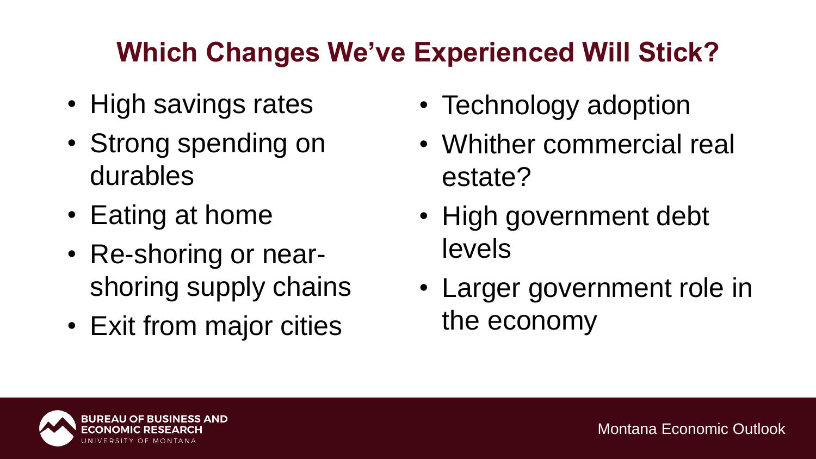## **Which Changes We've Experienced Will Stick?**

- High savings rates
- Strong spending on durables
- Eating at home
- Re-shoring or nearshoring supply chains
- Exit from major cities
- Technology adoption
- Whither commercial real estate?
- High government debt levels
- Larger government role in the economy

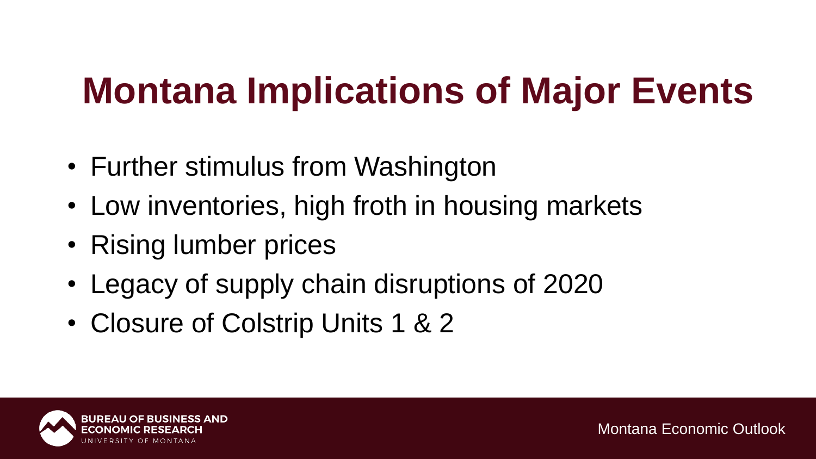# **Montana Implications of Major Events**

- Further stimulus from Washington
- Low inventories, high froth in housing markets
- Rising lumber prices
- Legacy of supply chain disruptions of 2020
- Closure of Colstrip Units 1 & 2

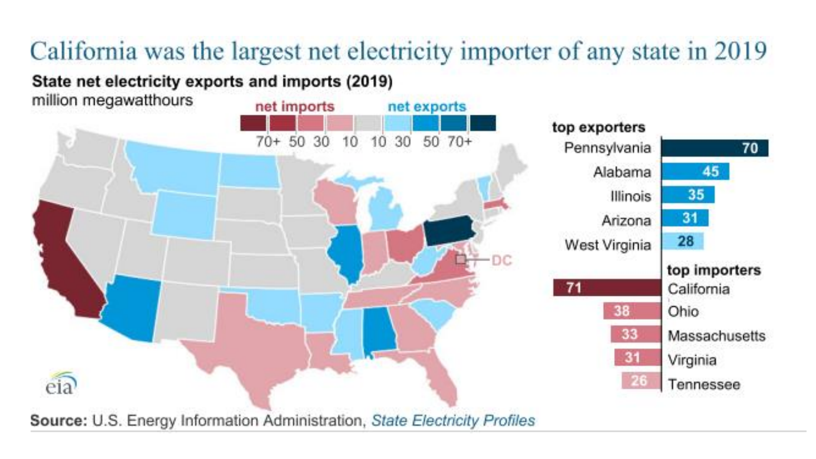# California was the largest net electricity importer of any state in 2019

#### State net electricity exports and imports (2019)

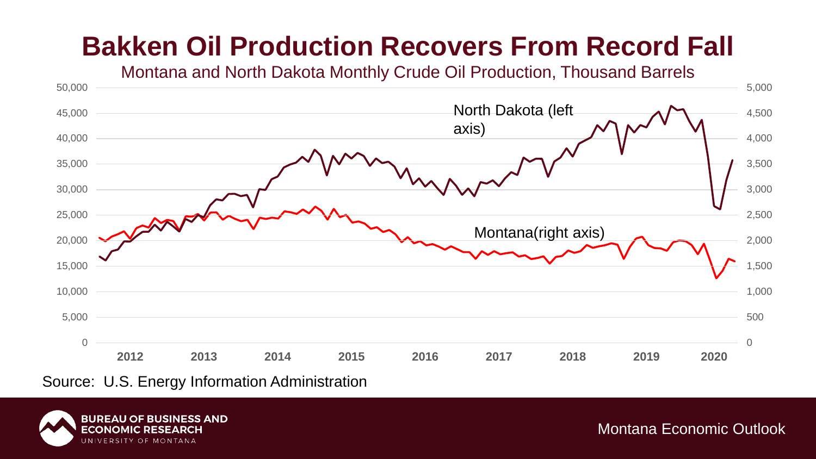## **Bakken Oil Production Recovers From Record Fall**



Source: U.S. Energy Information Administration

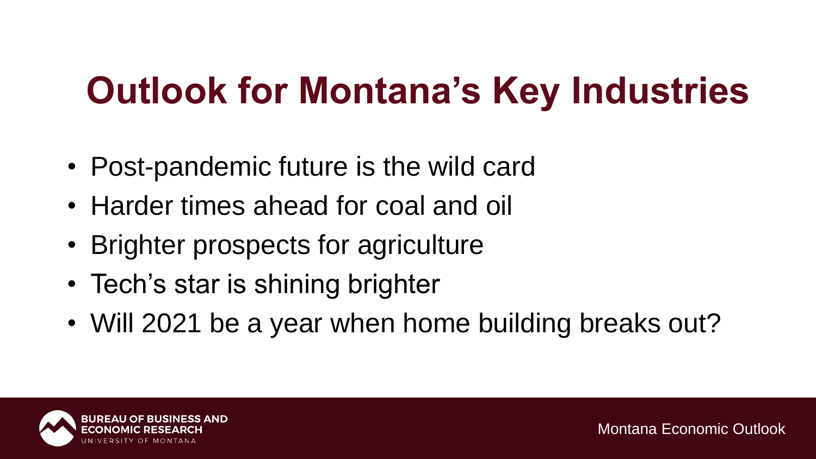# **Outlook for Montana's Key Industries**

- Post-pandemic future is the wild card
- Harder times ahead for coal and oil
- Brighter prospects for agriculture
- Tech's star is shining brighter
- Will 2021 be a year when home building breaks out?